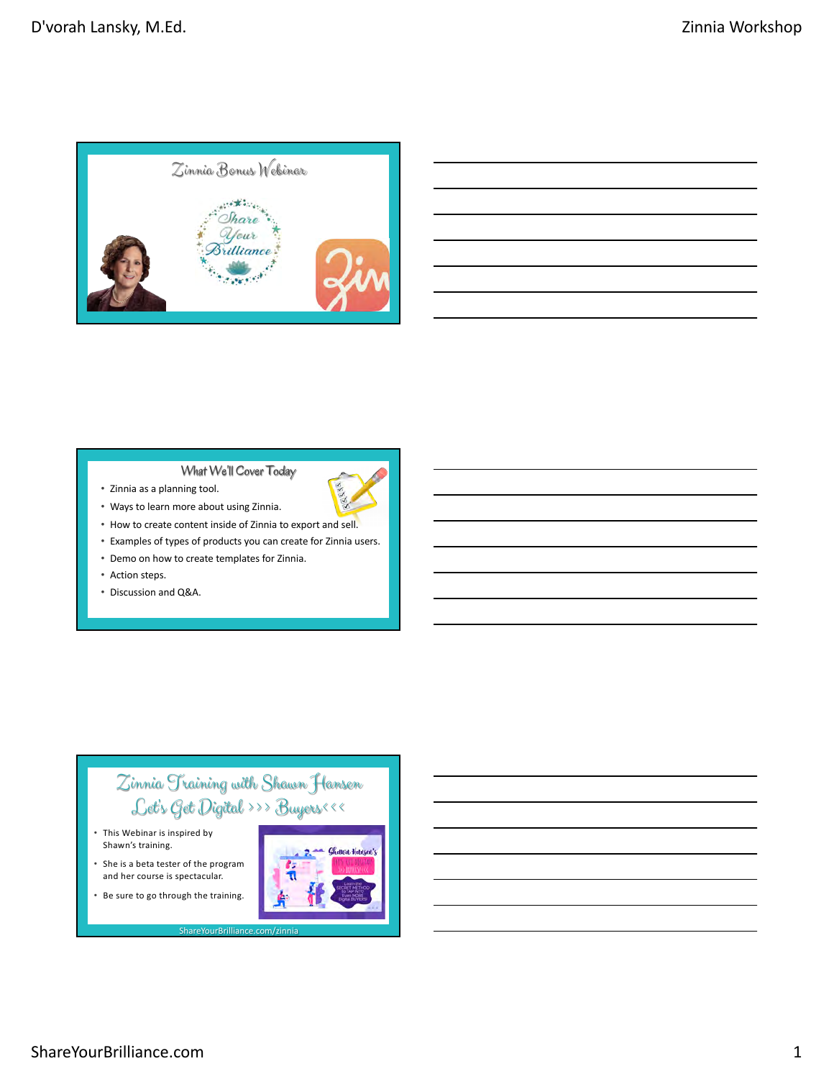



- Zinnia as a planning tool.
- Ways to learn more about using Zinnia.
- How to create content inside of Zinnia to export and sell.
- Examples of types of products you can create for Zinnia users.
- Demo on how to create templates for Zinnia.
- Action steps.
- Discussion and Q&A.

## Zinnia Training with Shawn Hansen Let's Get Digital >>> Buyers<<<

ShareYourBrilliance.co

- This Webinar is inspired by Shawn's training.
- She is a beta tester of the program and her course is spectacular. • Be sure to go through the training.

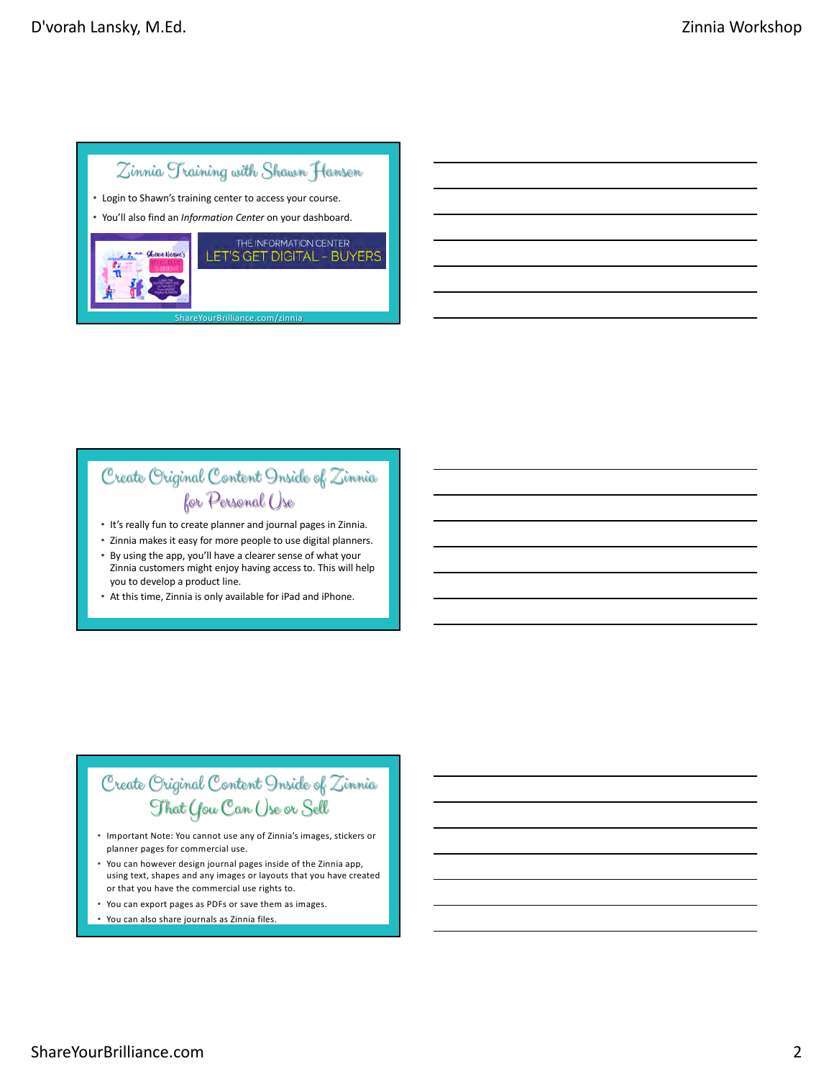## Zinnia Training with Shawn Hansen

- Login to Shawn's training center to access your course.
- You'll also find an *Information Center* on your dashboard.



# Create Original Content Inside of Zinnia for Personal Use

- It's really fun to create planner and journal pages in Zinnia.
- Zinnia makes it easy for more people to use digital planners.
- By using the app, you'll have a clearer sense of what your Zinnia customers might enjoy having access to. This will help you to develop a product line.
- At this time, Zinnia is only available for iPad and iPhone.

# Create Original Content Inside of Zinnia That You Can Use or Sell

- Important Note: You cannot use any of Zinnia's images, stickers or planner pages for commercial use.
- You can however design journal pages inside of the Zinnia app, using text, shapes and any images or layouts that you have created or that you have the commercial use rights to.
- You can export pages as PDFs or save them as images.
- You can also share journals as Zinnia files.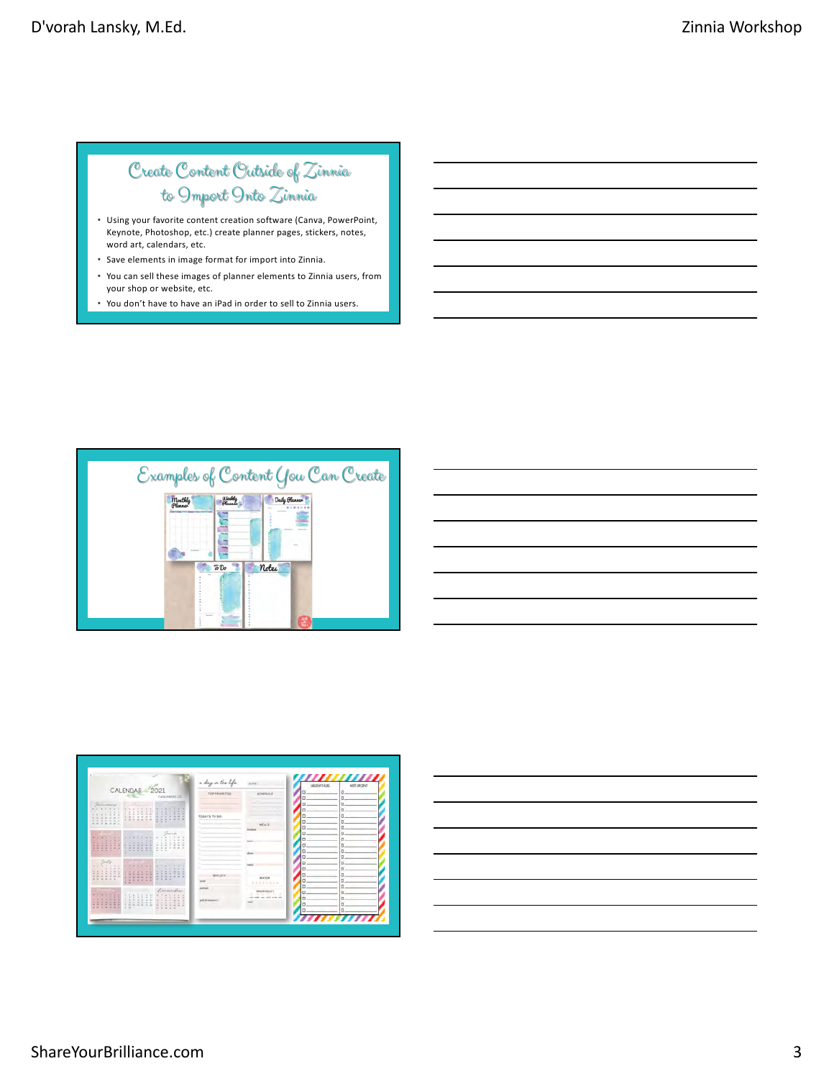# Create Content Outside of Zinnia to Import Into Zinnia

- Using your favorite content creation software (Canva, PowerPoint, Keynote, Photoshop, etc.) create planner pages, stickers, notes, word art, calendars, etc.
- Save elements in image format for import into Zinnia.
- You can sell these images of planner elements to Zinnia users, from your shop or website, etc.
- You don't have to have an iPad in order to sell to Zinnia users.



| and the control of the control of the control of the control of the control of the control of the control of the control of the control of the control of the control of the control of the control of the control of the cont |  |  |  |  |
|--------------------------------------------------------------------------------------------------------------------------------------------------------------------------------------------------------------------------------|--|--|--|--|
|                                                                                                                                                                                                                                |  |  |  |  |
| and the contract of the contract of the contract of the contract of the contract of the contract of the contract of                                                                                                            |  |  |  |  |
| and the contract of the contract of the contract of the contract of the contract of the contract of the contract of                                                                                                            |  |  |  |  |
| <u> 1989 - Johann Harry Harry Harry Harry Harry Harry Harry Harry Harry Harry Harry Harry Harry Harry Harry Harry</u>                                                                                                          |  |  |  |  |
|                                                                                                                                                                                                                                |  |  |  |  |
|                                                                                                                                                                                                                                |  |  |  |  |

|                                                      |                                                                                                            |                                                                                               | a day in the life.        |                                           | <b><i>MESTATTAGE</i></b> | <b>MIX URGENT</b> |
|------------------------------------------------------|------------------------------------------------------------------------------------------------------------|-----------------------------------------------------------------------------------------------|---------------------------|-------------------------------------------|--------------------------|-------------------|
|                                                      | CALENDAR 2021                                                                                              | <b>NEW PRIZES CO</b>                                                                          | <b>TOP PRIORITIES</b>     | SCHEDULE                                  |                          |                   |
| Germany                                              |                                                                                                            |                                                                                               |                           |                                           |                          |                   |
| .<br><b>ALC</b>                                      | ٠                                                                                                          | $-10 - 10$<br>×                                                                               |                           |                                           |                          |                   |
| ÷<br>ter, let<br>$\sim$                              | $\sim$<br>$\sim$<br>۰<br>٠<br>٠                                                                            | <b>W.W.</b>                                                                                   | T00AYS T0 00:             |                                           |                          |                   |
| <b>REALER</b><br>$=$<br>$= 3.3111$<br><b>College</b> | $\sim$                                                                                                     | $\sim$<br><br>u<br>$-20.00$                                                                   |                           | <b>MEALE</b>                              |                          |                   |
|                                                      |                                                                                                            |                                                                                               |                           |                                           |                          | n                 |
| m.<br>4 1 1 1 1 1                                    | <b>ALCOHOL:</b><br>1.111                                                                                   | Gurun<br>$-7.67$                                                                              |                           |                                           |                          |                   |
| <b>A</b><br>$ -$                                     | $\frac{1}{2}$<br>$\cdots$<br>9.9.9.9                                                                       | $\sim$<br>٠<br>÷<br>ı.<br>×.                                                                  | ٠                         | <b>Louis</b>                              |                          |                   |
| $\frac{1}{2}$<br>-------<br>-----                    | at the set<br>the control<br>-------<br>at the top of the first sec-                                       | ×<br><b>COLLEGE</b><br>$\sim$<br>×<br>$\sim$<br>$= 2.8$<br>W. M. W.<br>$=$ $-$                |                           |                                           |                          | b                 |
|                                                      |                                                                                                            |                                                                                               |                           | driver.                                   |                          | o                 |
| $7 - 6$                                              |                                                                                                            |                                                                                               |                           |                                           |                          |                   |
| $4 - 4 - 2 - 4 - 4$<br>$2.18 - 1.0$                  | $\frac{1}{2}$                                                                                              | $\sim$<br>$\sim$ $-$<br>$\sim$<br>$+ -$<br>$-7.7.7$                                           |                           | -                                         |                          | ۵                 |
| ******<br>×<br>.<br>                                 | $\sim$ $\sim$<br>1.17.1<br>.<br>$-1$<br><b>PPARKLE</b>                                                     | .<br>----------<br>-------                                                                    | REFLED                    |                                           |                          | a                 |
|                                                      | <b><i><i><u><b>A</b></u></i></i> A A A A A</b><br>$n = 1$                                                  | <b>With All</b>                                                                               | <b>STATE</b>              | waits.<br>                                |                          | b                 |
|                                                      |                                                                                                            | December                                                                                      | profitable                |                                           |                          |                   |
| <b>All Sec</b><br><b>ALC NO</b><br>×                 | $A$ X<br>$\sim$<br>$-1 - 1 - 1$                                                                            | THE R                                                                                         |                           | <b>WOMKOUT</b>                            |                          |                   |
| $= 100$<br>1.11<br>$11-24$<br>10 to 10 at 10         | $-2$<br>$\sim$<br>1.1.1.1<br>×<br>$\sim$<br>$\sim$<br>to the top and<br>Call Call<br>on the car battle and | ×<br>$\rightarrow$<br>$-7 - 7 - 1$<br>4.12.14<br><b>1 3 3 3</b><br>$\sim$<br>$\sim$<br>$\sim$ | <b>Built Bit Streamer</b> | center program cases seried and the other |                          |                   |
| --------<br>                                         | $= -1$<br>$-200$<br>$\frac{1}{2}$                                                                          | the first<br>the barrows.<br>-----                                                            |                           |                                           |                          |                   |
|                                                      |                                                                                                            |                                                                                               |                           |                                           |                          |                   |

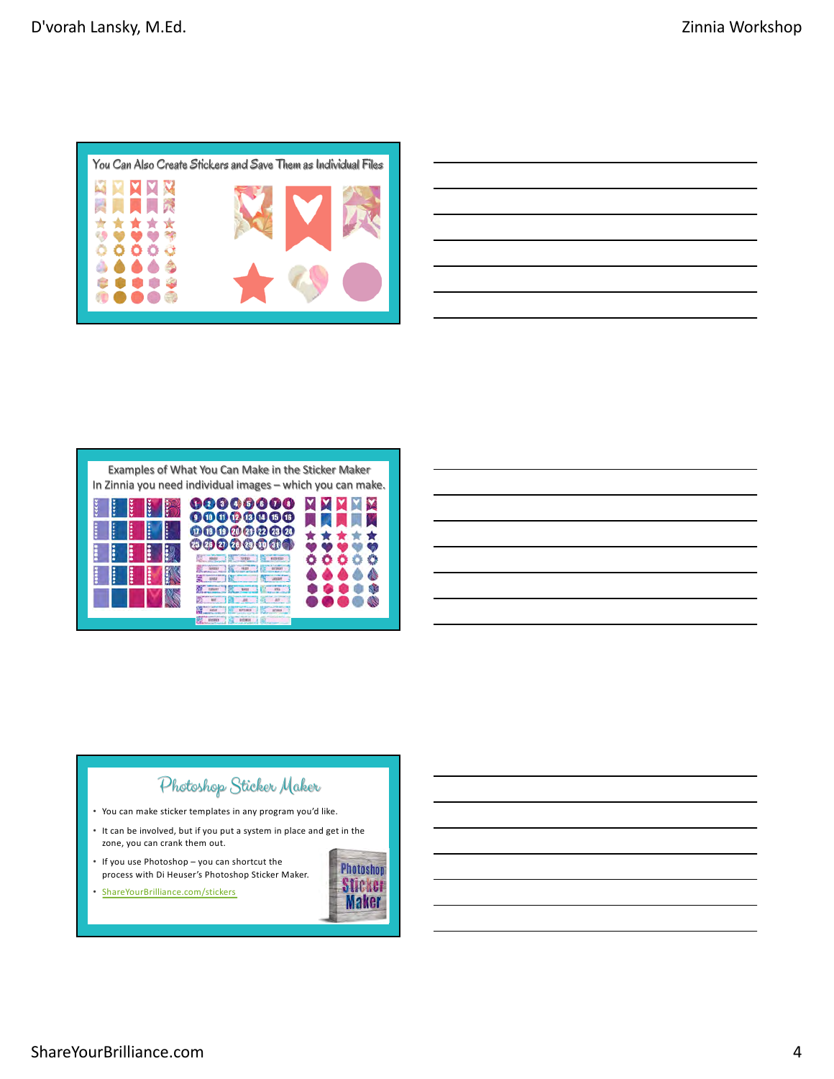

| <u> Alexandro de la contrada de la contrada de la contrada de la contrada de la contrada de la contrada de la co</u> |
|----------------------------------------------------------------------------------------------------------------------|
| ,我们也不会有什么。""我们的人,我们也不会有什么?""我们的人,我们也不会有什么?""我们的人,我们也不会有什么?""我们的人,我们也不会有什么?""我们的人                                     |
| $\sim$ $\sim$ $\sim$ $\sim$ $\sim$                                                                                   |
|                                                                                                                      |
| <u> 1989 - Andrea Santa Andrea Andrea Andrea Andrea Andrea Andrea Andrea Andrea Andrea Andrea Andrea Andrea Andr</u> |
| ,我们也不会有一个人的事情。""我们的人们是不是我们的人,我们也不会有一个人的人,我们也不会有一个人的人,我们也不会有一个人的人,我们也不会有一个人的人,我们也不                                    |

### Examples of What You Can Make in the Sticker Maker In Zinnia you need individual images – which you can make.



## Photoshop Sticker Maker

- You can make sticker templates in any program you'd like.
- It can be involved, but if you put a system in place and get in the zone, you can crank them out.
- If you use Photoshop you can shortcut the process with Di Heuser's Photoshop Sticker Maker.
- [ShareYourBrilli](https://shareyourbrilliance.com/stickers)ance.com/stickers

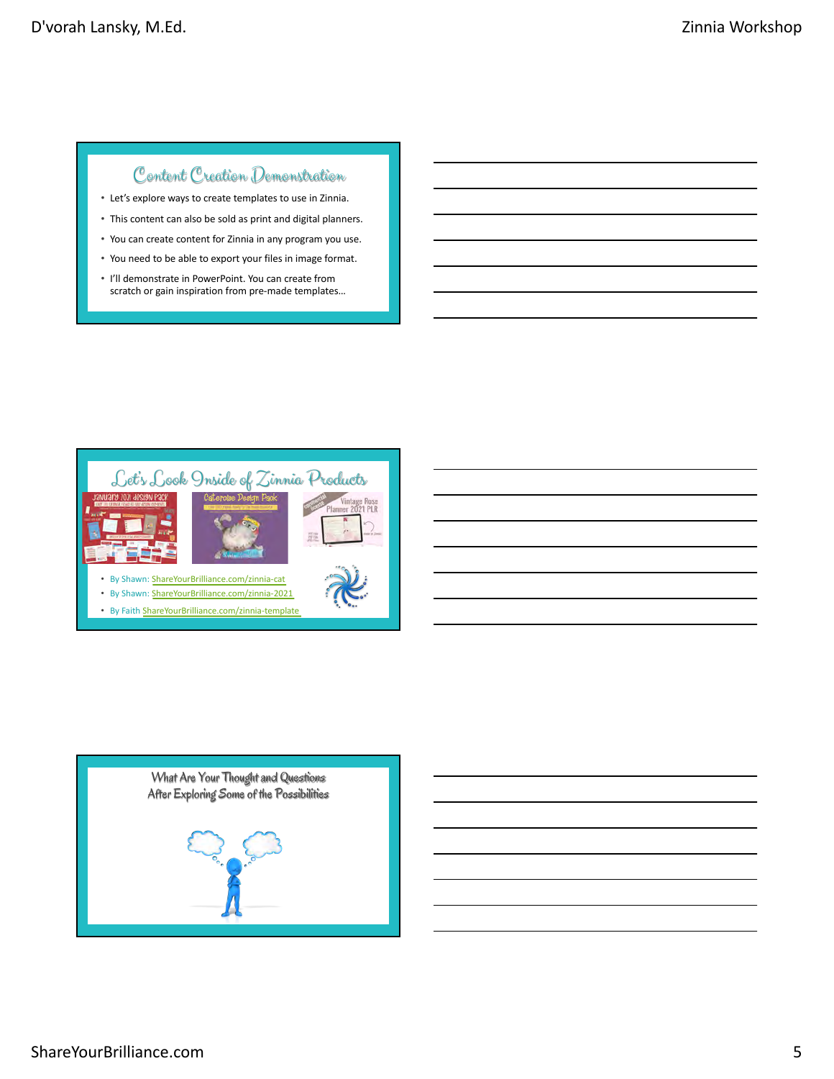## Content Creation Demonstration

- Let's explore ways to create templates to use in Zinnia.
- This content can also be sold as print and digital planners.
- You can create content for Zinnia in any program you use. • You need to be able to export your files in image format.
- I'll demonstrate in PowerPoint. You can create from scratch or gain inspiration from pre-made templates…



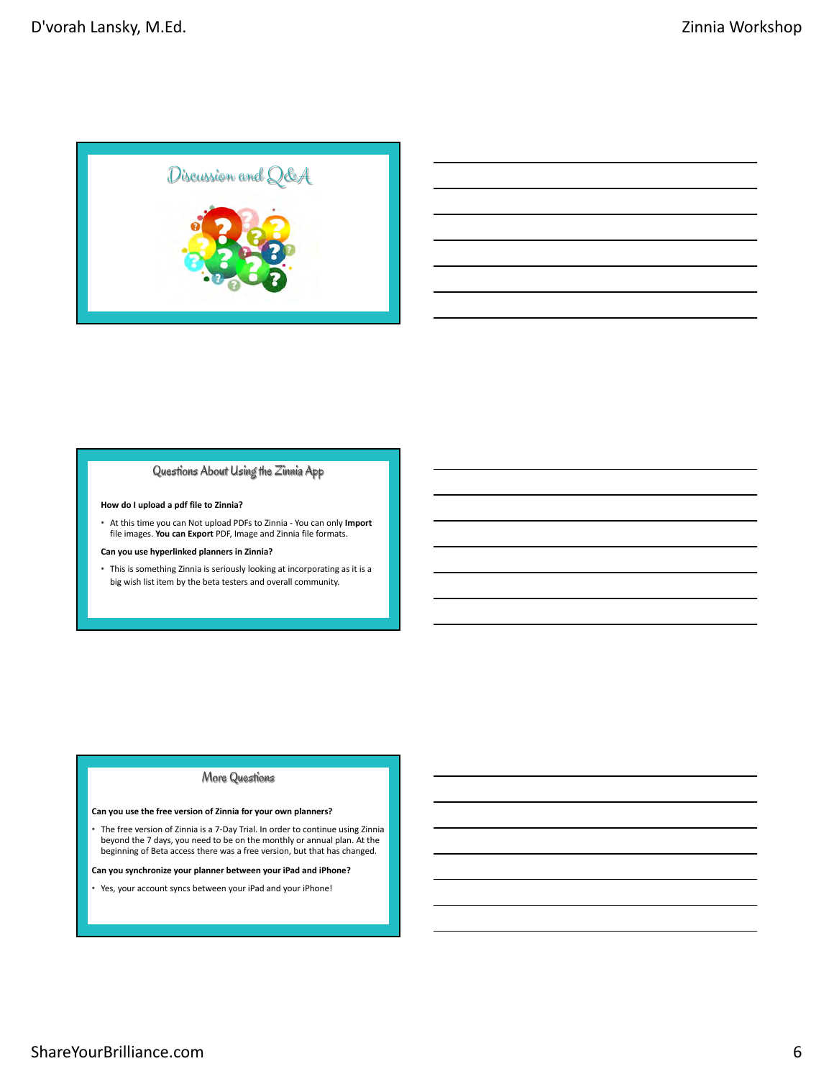

### Questions About Using the Zinnia App

#### **How do I upload a pdf file to Zinnia?**

• At this time you can Not upload PDFs to Zinnia - You can only **Import** file images. **You can Export** PDF, Image and Zinnia file formats.

#### **Can you use hyperlinked planners in Zinnia?**

• This is something Zinnia is seriously looking at incorporating as it is a big wish list item by the beta testers and overall community.

### More Questions

#### **Can you use the free version of Zinnia for your own planners?**

• The free version of Zinnia is a 7-Day Trial. In order to continue using Zinnia beyond the 7 days, you need to be on the monthly or annual plan. At the beginning of Beta access there was a free version, but that has changed.

#### **Can you synchronize your planner between your iPad and iPhone?**

• Yes, your account syncs between your iPad and your iPhone!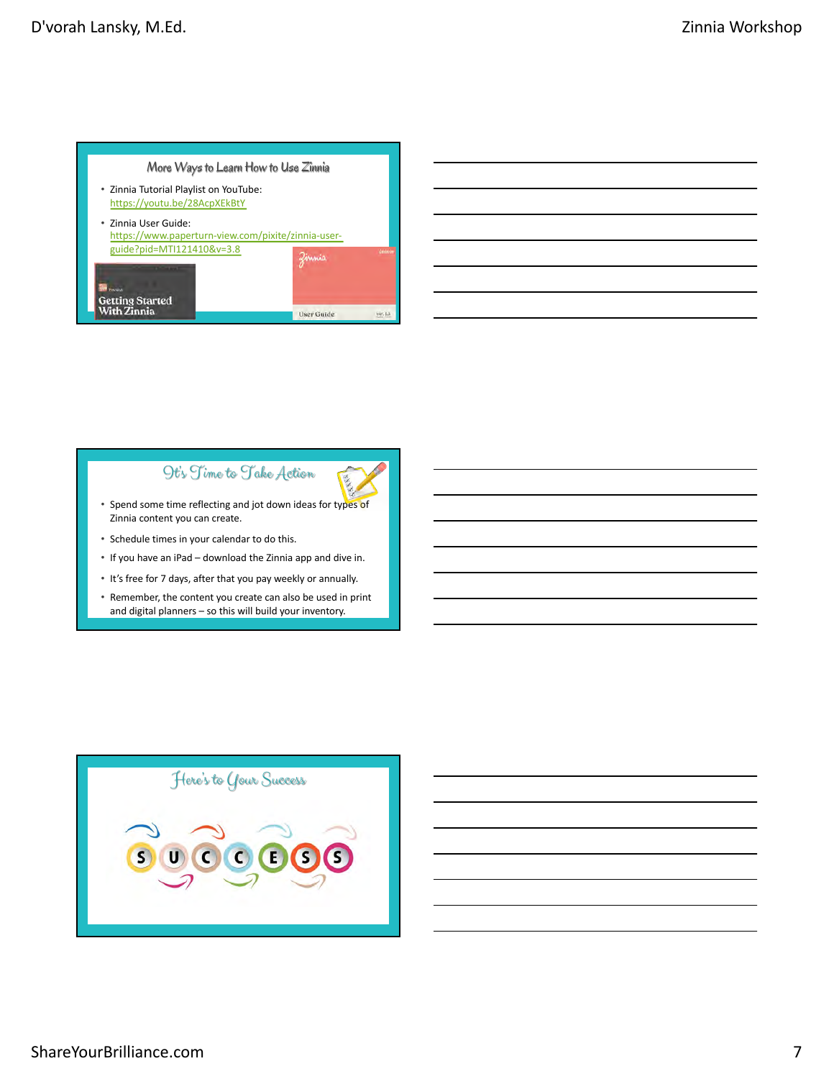

## Ot's Time to Take Action



- Spend some time reflecting and jot down ideas for types of Zinnia content you can create.
- Schedule times in your calendar to do this.
- If you have an iPad download the Zinnia app and dive in.
- It's free for 7 days, after that you pay weekly or annually.
- Remember, the content you create can also be used in print and digital planners – so this will build your inventory.